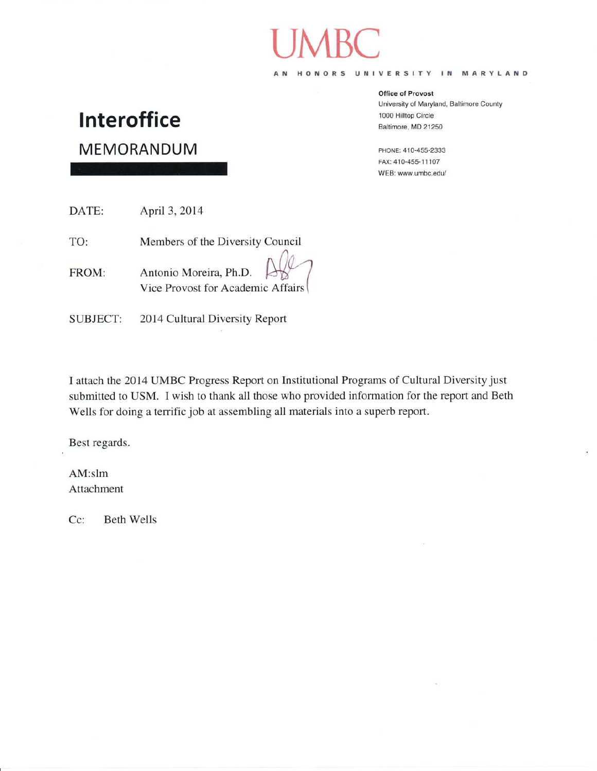HONORS UNIVERSITY IN MARYLAND  $A$  N

#### **Office of Provost**

University of Maryland, Baltimore County 1000 Hilltop Circle Baltimore, MD 21250

PHONE: 410-455-2333 FAX: 410-455-11107 WEB: www.umbc.edu/

# **Interoffice**

MEMORANDUM

DATE: April 3, 2014 TO: Members of the Diversity Council Antonio Moreira, Ph.D. FROM: Vice Provost for Academic Affairs

2014 Cultural Diversity Report **SUBJECT:** 

I attach the 2014 UMBC Progress Report on Institutional Programs of Cultural Diversity just submitted to USM. I wish to thank all those who provided information for the report and Beth Wells for doing a terrific job at assembling all materials into a superb report.

Best regards.

 $AM:$ slm Attachment

Cc: **Beth Wells**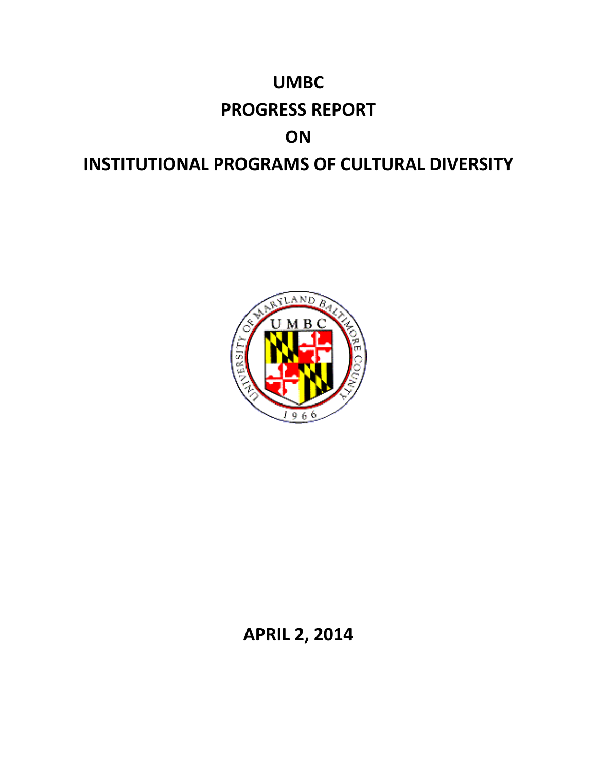



# **APRIL 2, 2014**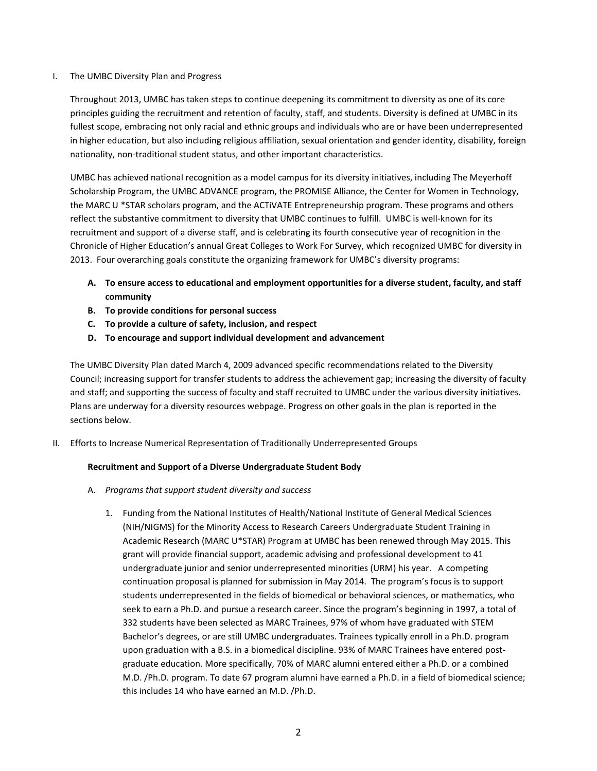# I. The UMBC Diversity Plan and Progress

Throughout 2013, UMBC has taken steps to continue deepening its commitment to diversity as one of its core principles guiding the recruitment and retention of faculty, staff, and students. Diversity is defined at UMBC in its fullest scope, embracing not only racial and ethnic groups and individuals who are or have been underrepresented in higher education, but also including religious affiliation, sexual orientation and gender identity, disability, foreign nationality, non-traditional student status, and other important characteristics.

UMBC has achieved national recognition as a model campus for its diversity initiatives, including The Meyerhoff Scholarship Program, the UMBC ADVANCE program, the PROMISE Alliance, the Center for Women in Technology, the MARC U \*STAR scholars program, and the ACTiVATE Entrepreneurship program. These programs and others reflect the substantive commitment to diversity that UMBC continues to fulfill. UMBC is well-known for its recruitment and support of a diverse staff, and is celebrating its fourth consecutive year of recognition in the Chronicle of Higher Education's annual Great Colleges to Work For Survey, which recognized UMBC for diversity in 2013. Four overarching goals constitute the organizing framework for UMBC's diversity programs:

- **A. To ensure access to educational and employment opportunities for a diverse student, faculty, and staff community**
- **B. To provide conditions for personal success**
- **C. To provide a culture of safety, inclusion, and respect**
- **D. To encourage and support individual development and advancement**

The UMBC Diversity Plan dated March 4, 2009 advanced specific recommendations related to the Diversity Council; increasing support for transfer students to address the achievement gap; increasing the diversity of faculty and staff; and supporting the success of faculty and staff recruited to UMBC under the various diversity initiatives. Plans are underway for a diversity resources webpage. Progress on other goals in the plan is reported in the sections below.

II. Efforts to Increase Numerical Representation of Traditionally Underrepresented Groups

# **Recruitment and Support of a Diverse Undergraduate Student Body**

- A. *Programs that support student diversity and success*
	- 1. Funding from the National Institutes of Health/National Institute of General Medical Sciences (NIH/NIGMS) for the Minority Access to Research Careers Undergraduate Student Training in Academic Research (MARC U\*STAR) Program at UMBC has been renewed through May 2015. This grant will provide financial support, academic advising and professional development to 41 undergraduate junior and senior underrepresented minorities (URM) his year. A competing continuation proposal is planned for submission in May 2014. The program's focus is to support students underrepresented in the fields of biomedical or behavioral sciences, or mathematics, who seek to earn a Ph.D. and pursue a research career. Since the program's beginning in 1997, a total of 332 students have been selected as MARC Trainees, 97% of whom have graduated with STEM Bachelor's degrees, or are still UMBC undergraduates. Trainees typically enroll in a Ph.D. program upon graduation with a B.S. in a biomedical discipline. 93% of MARC Trainees have entered postgraduate education. More specifically, 70% of MARC alumni entered either a Ph.D. or a combined M.D. /Ph.D. program. To date 67 program alumni have earned a Ph.D. in a field of biomedical science; this includes 14 who have earned an M.D. /Ph.D.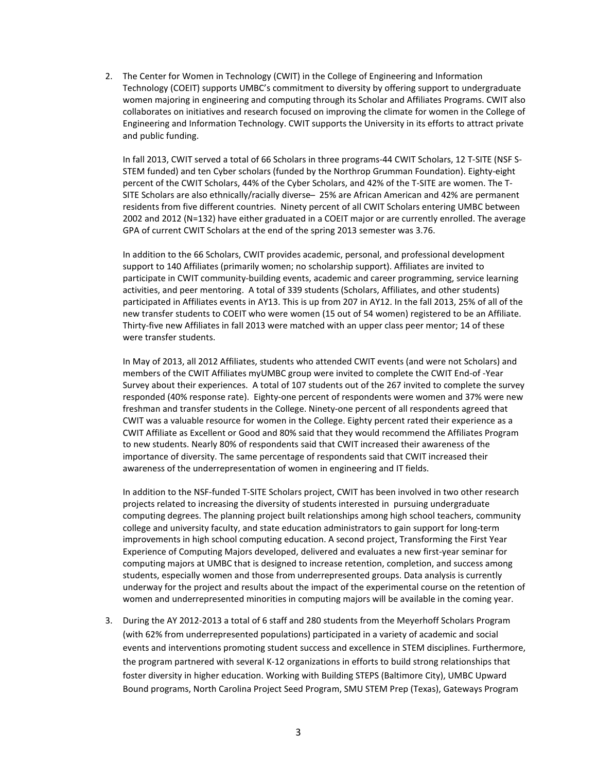2. The Center for Women in Technology (CWIT) in the College of Engineering and Information Technology (COEIT) supports UMBC's commitment to diversity by offering support to undergraduate women majoring in engineering and computing through its Scholar and Affiliates Programs. CWIT also collaborates on initiatives and research focused on improving the climate for women in the College of Engineering and Information Technology. CWIT supports the University in its efforts to attract private and public funding.

In fall 2013, CWIT served a total of 66 Scholars in three programs-44 CWIT Scholars, 12 T-SITE (NSF S-STEM funded) and ten Cyber scholars (funded by the Northrop Grumman Foundation). Eighty-eight percent of the CWIT Scholars, 44% of the Cyber Scholars, and 42% of the T-SITE are women. The T-SITE Scholars are also ethnically/racially diverse – 25% are African American and 42% are permanent residents from five different countries. Ninety percent of all CWIT Scholars entering UMBC between 2002 and 2012 (N=132) have either graduated in a COEIT major or are currently enrolled. The average GPA of current CWIT Scholars at the end of the spring 2013 semester was 3.76.

In addition to the 66 Scholars, CWIT provides academic, personal, and professional development support to 140 Affiliates (primarily women; no scholarship support). Affiliates are invited to participate in CWIT community-building events, academic and career programming, service learning activities, and peer mentoring. A total of 339 students (Scholars, Affiliates, and other students) participated in Affiliates events in AY13. This is up from 207 in AY12. In the fall 2013, 25% of all of the new transfer students to COEIT who were women (15 out of 54 women) registered to be an Affiliate. Thirty-five new Affiliates in fall 2013 were matched with an upper class peer mentor; 14 of these were transfer students.

In May of 2013, all 2012 Affiliates, students who attended CWIT events (and were not Scholars) and members of the CWIT Affiliates myUMBC group were invited to complete the CWIT End-of -Year Survey about their experiences. A total of 107 students out of the 267 invited to complete the survey responded (40% response rate). Eighty-one percent of respondents were women and 37% were new freshman and transfer students in the College. Ninety-one percent of all respondents agreed that CWIT was a valuable resource for women in the College. Eighty percent rated their experience as a CWIT Affiliate as Excellent or Good and 80% said that they would recommend the Affiliates Program to new students. Nearly 80% of respondents said that CWIT increased their awareness of the importance of diversity. The same percentage of respondents said that CWIT increased their awareness of the underrepresentation of women in engineering and IT fields.

In addition to the NSF-funded T-SITE Scholars project, CWIT has been involved in two other research projects related to increasing the diversity of students interested in pursuing undergraduate computing degrees. The planning project built relationships among high school teachers, community college and university faculty, and state education administrators to gain support for long-term improvements in high school computing education. A second project, Transforming the First Year Experience of Computing Majors developed, delivered and evaluates a new first-year seminar for computing majors at UMBC that is designed to increase retention, completion, and success among students, especially women and those from underrepresented groups. Data analysis is currently underway for the project and results about the impact of the experimental course on the retention of women and underrepresented minorities in computing majors will be available in the coming year.

3. During the AY 2012-2013 a total of 6 staff and 280 students from the Meyerhoff Scholars Program (with 62% from underrepresented populations) participated in a variety of academic and social events and interventions promoting student success and excellence in STEM disciplines. Furthermore, the program partnered with several K-12 organizations in efforts to build strong relationships that foster diversity in higher education. Working with Building STEPS (Baltimore City), UMBC Upward Bound programs, North Carolina Project Seed Program, SMU STEM Prep (Texas), Gateways Program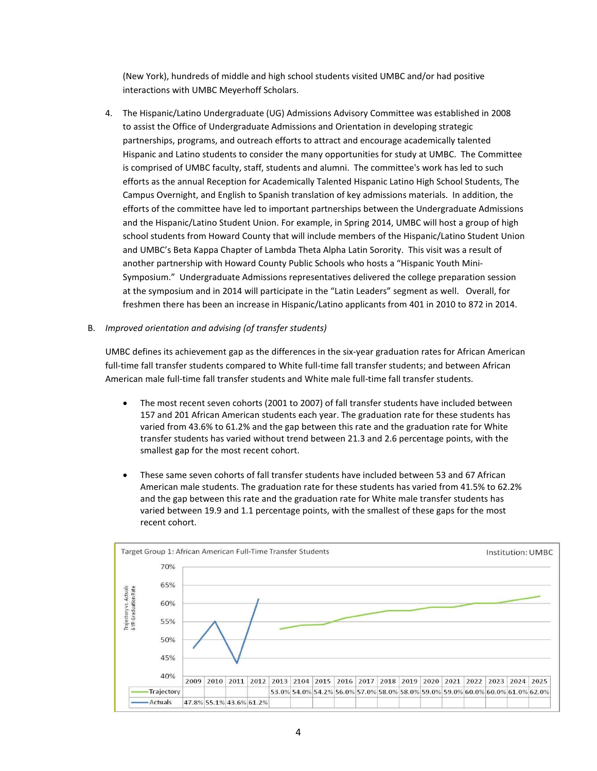(New York), hundreds of middle and high school students visited UMBC and/or had positive interactions with UMBC Meyerhoff Scholars.

- 4. The Hispanic/Latino Undergraduate (UG) Admissions Advisory Committee was established in 2008 to assist the Office of Undergraduate Admissions and Orientation in developing strategic partnerships, programs, and outreach efforts to attract and encourage academically talented Hispanic and Latino students to consider the many opportunities for study at UMBC. The Committee is comprised of UMBC faculty, staff, students and alumni. The committee's work has led to such efforts as the annual Reception for Academically Talented Hispanic Latino High School Students, The Campus Overnight, and English to Spanish translation of key admissions materials. In addition, the efforts of the committee have led to important partnerships between the Undergraduate Admissions and the Hispanic/Latino Student Union. For example, in Spring 2014, UMBC will host a group of high school students from Howard County that will include members of the Hispanic/Latino Student Union and UMBC's Beta Kappa Chapter of Lambda Theta Alpha Latin Sorority. This visit was a result of another partnership with Howard County Public Schools who hosts a "Hispanic Youth Mini-Symposium." Undergraduate Admissions representatives delivered the college preparation session at the symposium and in 2014 will participate in the "Latin Leaders" segment as well. Overall, for freshmen there has been an increase in Hispanic/Latino applicants from 401 in 2010 to 872 in 2014.
- B. *Improved orientation and advising (of transfer students)*

UMBC defines its achievement gap as the differences in the six-year graduation rates for African American full-time fall transfer students compared to White full-time fall transfer students; and between African American male full-time fall transfer students and White male full-time fall transfer students.

- The most recent seven cohorts (2001 to 2007) of fall transfer students have included between 157 and 201 African American students each year. The graduation rate for these students has varied from 43.6% to 61.2% and the gap between this rate and the graduation rate for White transfer students has varied without trend between 21.3 and 2.6 percentage points, with the smallest gap for the most recent cohort.
- These same seven cohorts of fall transfer students have included between 53 and 67 African American male students. The graduation rate for these students has varied from 41.5% to 62.2% and the gap between this rate and the graduation rate for White male transfer students has varied between 19.9 and 1.1 percentage points, with the smallest of these gaps for the most recent cohort.

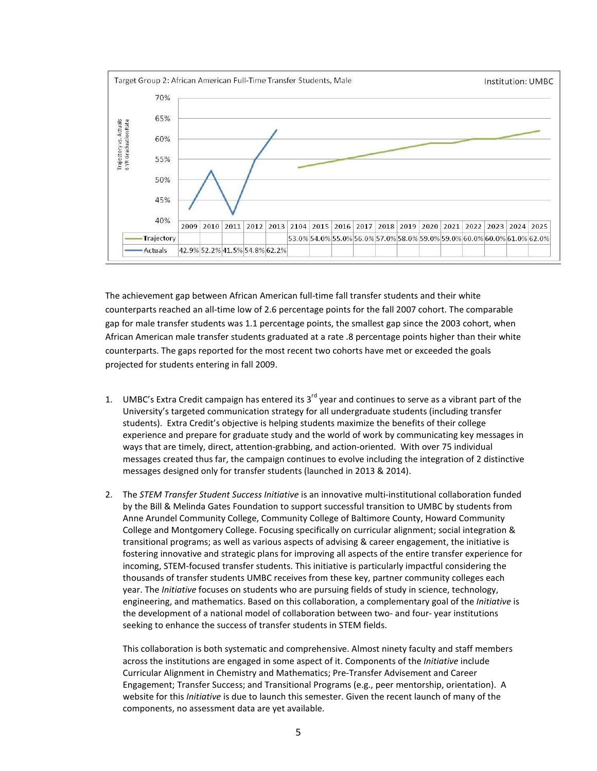

The achievement gap between African American full-time fall transfer students and their white counterparts reached an all-time low of 2.6 percentage points for the fall 2007 cohort. The comparable gap for male transfer students was 1.1 percentage points, the smallest gap since the 2003 cohort, when African American male transfer students graduated at a rate .8 percentage points higher than their white counterparts. The gaps reported for the most recent two cohorts have met or exceeded the goals projected for students entering in fall 2009.

- 1. UMBC's Extra Credit campaign has entered its  $3<sup>rd</sup>$  year and continues to serve as a vibrant part of the University's targeted communication strategy for all undergraduate students (including transfer students). Extra Credit's objective is helping students maximize the benefits of their college experience and prepare for graduate study and the world of work by communicating key messages in ways that are timely, direct, attention-grabbing, and action-oriented. With over 75 individual messages created thus far, the campaign continues to evolve including the integration of 2 distinctive messages designed only for transfer students (launched in 2013 & 2014).
- 2. The *STEM Transfer Student Success Initiative* is an innovative multi-institutional collaboration funded by the Bill & Melinda Gates Foundation to support successful transition to UMBC by students from Anne Arundel Community College, Community College of Baltimore County, Howard Community College and Montgomery College. Focusing specifically on curricular alignment; social integration & transitional programs; as well as various aspects of advising & career engagement, the initiative is fostering innovative and strategic plans for improving all aspects of the entire transfer experience for incoming, STEM-focused transfer students. This initiative is particularly impactful considering the thousands of transfer students UMBC receives from these key, partner community colleges each year. The *Initiative* focuses on students who are pursuing fields of study in science, technology, engineering, and mathematics. Based on this collaboration, a complementary goal of the *Initiative* is the development of a national model of collaboration between two- and four- year institutions seeking to enhance the success of transfer students in STEM fields.

This collaboration is both systematic and comprehensive. Almost ninety faculty and staff members across the institutions are engaged in some aspect of it. Components of the *Initiative* include Curricular Alignment in Chemistry and Mathematics; Pre-Transfer Advisement and Career Engagement; Transfer Success; and Transitional Programs (e.g., peer mentorship, orientation). A website for this *Initiative* is due to launch this semester. Given the recent launch of many of the components, no assessment data are yet available.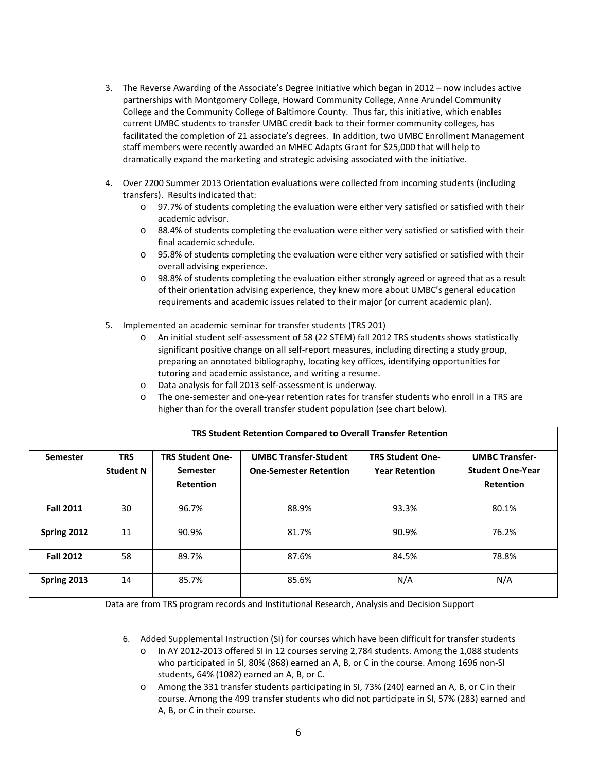- 3. The Reverse Awarding of the Associate's Degree Initiative which began in 2012 now includes active partnerships with Montgomery College, Howard Community College, Anne Arundel Community College and the Community College of Baltimore County. Thus far, this initiative, which enables current UMBC students to transfer UMBC credit back to their former community colleges, has facilitated the completion of 21 associate's degrees. In addition, two UMBC Enrollment Management staff members were recently awarded an MHEC Adapts Grant for \$25,000 that will help to dramatically expand the marketing and strategic advising associated with the initiative.
- 4. Over 2200 Summer 2013 Orientation evaluations were collected from incoming students (including transfers). Results indicated that:
	- o 97.7% of students completing the evaluation were either very satisfied or satisfied with their academic advisor.
	- o 88.4% of students completing the evaluation were either very satisfied or satisfied with their final academic schedule.
	- o 95.8% of students completing the evaluation were either very satisfied or satisfied with their overall advising experience.
	- o 98.8% of students completing the evaluation either strongly agreed or agreed that as a result of their orientation advising experience, they knew more about UMBC's general education requirements and academic issues related to their major (or current academic plan).
- 5. Implemented an academic seminar for transfer students (TRS 201)
	- o An initial student self-assessment of 58 (22 STEM) fall 2012 TRS students shows statistically significant positive change on all self-report measures, including directing a study group, preparing an annotated bibliography, locating key offices, identifying opportunities for tutoring and academic assistance, and writing a resume.
	- o Data analysis for fall 2013 self-assessment is underway.
	- o The one-semester and one-year retention rates for transfer students who enroll in a TRS are higher than for the overall transfer student population (see chart below).

| TRS Student Retention Compared to Overall Transfer Retention |                                |                                                                |                                                               |                                                  |                                                                      |  |  |  |  |  |  |  |  |
|--------------------------------------------------------------|--------------------------------|----------------------------------------------------------------|---------------------------------------------------------------|--------------------------------------------------|----------------------------------------------------------------------|--|--|--|--|--|--|--|--|
| Semester                                                     | <b>TRS</b><br><b>Student N</b> | <b>TRS Student One-</b><br><b>Semester</b><br><b>Retention</b> | <b>UMBC Transfer-Student</b><br><b>One-Semester Retention</b> | <b>TRS Student One-</b><br><b>Year Retention</b> | <b>UMBC Transfer-</b><br><b>Student One-Year</b><br><b>Retention</b> |  |  |  |  |  |  |  |  |
| <b>Fall 2011</b>                                             | 30                             | 96.7%                                                          | 88.9%                                                         | 93.3%                                            | 80.1%                                                                |  |  |  |  |  |  |  |  |
| Spring 2012                                                  | 11                             | 90.9%                                                          | 81.7%                                                         | 90.9%                                            | 76.2%                                                                |  |  |  |  |  |  |  |  |
| <b>Fall 2012</b>                                             | 58                             | 89.7%                                                          | 87.6%                                                         | 84.5%                                            | 78.8%                                                                |  |  |  |  |  |  |  |  |
| Spring 2013                                                  | 14                             | 85.7%                                                          | 85.6%                                                         | N/A                                              | N/A                                                                  |  |  |  |  |  |  |  |  |

Data are from TRS program records and Institutional Research, Analysis and Decision Support

- 6. Added Supplemental Instruction (SI) for courses which have been difficult for transfer students
	- o In AY 2012-2013 offered SI in 12 courses serving 2,784 students. Among the 1,088 students who participated in SI, 80% (868) earned an A, B, or C in the course. Among 1696 non-SI students, 64% (1082) earned an A, B, or C.
	- o Among the 331 transfer students participating in SI, 73% (240) earned an A, B, or C in their course. Among the 499 transfer students who did not participate in SI, 57% (283) earned and A, B, or C in their course.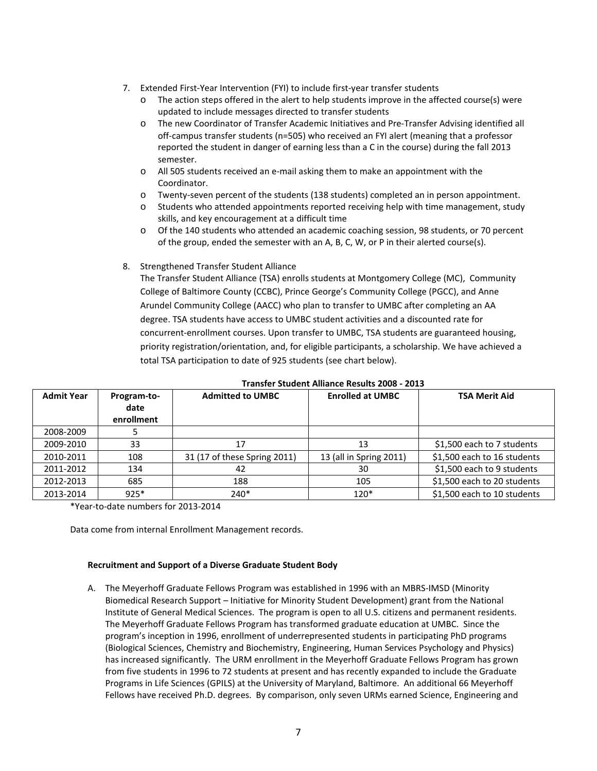- 7. Extended First-Year Intervention (FYI) to include first-year transfer students
	- The action steps offered in the alert to help students improve in the affected course(s) were updated to include messages directed to transfer students
	- o The new Coordinator of Transfer Academic Initiatives and Pre-Transfer Advising identified all off-campus transfer students (n=505) who received an FYI alert (meaning that a professor reported the student in danger of earning less than a C in the course) during the fall 2013 semester.
	- o All 505 students received an e-mail asking them to make an appointment with the Coordinator.
	- o Twenty-seven percent of the students (138 students) completed an in person appointment.
	- o Students who attended appointments reported receiving help with time management, study skills, and key encouragement at a difficult time
	- o Of the 140 students who attended an academic coaching session, 98 students, or 70 percent of the group, ended the semester with an A, B, C, W, or P in their alerted course(s).

# 8. Strengthened Transfer Student Alliance

The Transfer Student Alliance (TSA) enrolls students at Montgomery College (MC), Community College of Baltimore County (CCBC), Prince George's Community College (PGCC), and Anne Arundel Community College (AACC) who plan to transfer to UMBC after completing an AA degree. TSA students have access to UMBC student activities and a discounted rate for concurrent-enrollment courses. Upon transfer to UMBC, TSA students are guaranteed housing, priority registration/orientation, and, for eligible participants, a scholarship. We have achieved a total TSA participation to date of 925 students (see chart below).

| <b>Admit Year</b> | Program-to-<br>date<br>enrollment | <b>Admitted to UMBC</b>      | <b>Enrolled at UMBC</b> | <b>TSA Merit Aid</b>        |
|-------------------|-----------------------------------|------------------------------|-------------------------|-----------------------------|
| 2008-2009         |                                   |                              |                         |                             |
| 2009-2010         | 33                                | 17                           | 13                      | \$1,500 each to 7 students  |
| 2010-2011         | 108                               | 31 (17 of these Spring 2011) | 13 (all in Spring 2011) | \$1,500 each to 16 students |
| 2011-2012         | 134                               | 42                           | 30                      | \$1,500 each to 9 students  |
| 2012-2013         | 685                               | 188                          | 105                     | \$1,500 each to 20 students |
| 2013-2014         | $925*$                            | $240*$                       | $120*$                  | \$1,500 each to 10 students |

### **Transfer Student Alliance Results 2008 - 2013**

\*Year-to-date numbers for 2013-2014

Data come from internal Enrollment Management records.

# **Recruitment and Support of a Diverse Graduate Student Body**

A. The Meyerhoff Graduate Fellows Program was established in 1996 with an MBRS-IMSD (Minority Biomedical Research Support – Initiative for Minority Student Development) grant from the National Institute of General Medical Sciences. The program is open to all U.S. citizens and permanent residents. The Meyerhoff Graduate Fellows Program has transformed graduate education at UMBC. Since the program's inception in 1996, enrollment of underrepresented students in participating PhD programs (Biological Sciences, Chemistry and Biochemistry, Engineering, Human Services Psychology and Physics) has increased significantly. The URM enrollment in the Meyerhoff Graduate Fellows Program has grown from five students in 1996 to 72 students at present and has recently expanded to include the Graduate Programs in Life Sciences (GPILS) at the University of Maryland, Baltimore. An additional 66 Meyerhoff Fellows have received Ph.D. degrees. By comparison, only seven URMs earned Science, Engineering and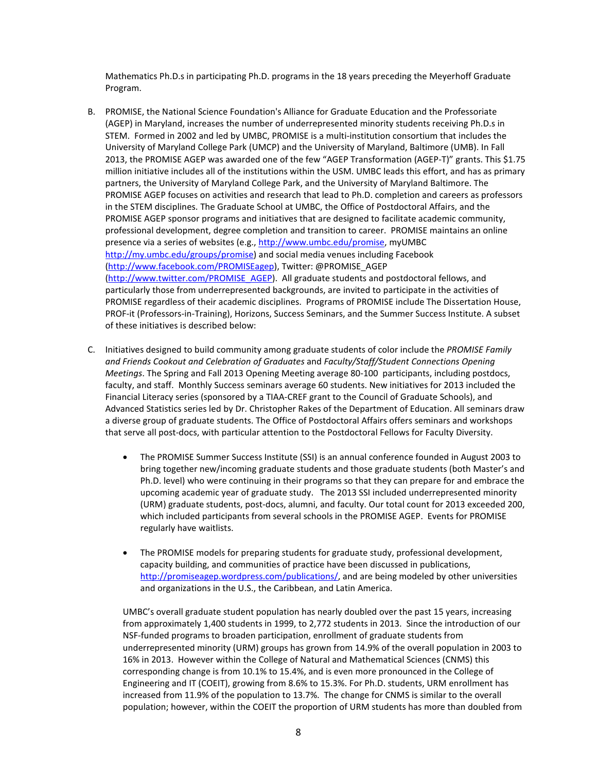Mathematics Ph.D.s in participating Ph.D. programs in the 18 years preceding the Meyerhoff Graduate Program.

- B. PROMISE, the National Science Foundation's Alliance for Graduate Education and the Professoriate (AGEP) in Maryland, increases the number of underrepresented minority students receiving Ph.D.s in STEM. Formed in 2002 and led by UMBC, PROMISE is a multi-institution consortium that includes the University of Maryland College Park (UMCP) and the University of Maryland, Baltimore (UMB). In Fall 2013, the PROMISE AGEP was awarded one of the few "AGEP Transformation (AGEP-T)" grants. This \$1.75 million initiative includes all of the institutions within the USM. UMBC leads this effort, and has as primary partners, the University of Maryland College Park, and the University of Maryland Baltimore. The PROMISE AGEP focuses on activities and research that lead to Ph.D. completion and careers as professors in the STEM disciplines. The Graduate School at UMBC, the Office of Postdoctoral Affairs, and the PROMISE AGEP sponsor programs and initiatives that are designed to facilitate academic community, professional development, degree completion and transition to career. PROMISE maintains an online presence via a series of websites (e.g., [http://www.umbc.edu/promise,](http://www.umbc.edu/promise) myUMBC [http://my.umbc.edu/groups/promise\)](http://my.umbc.edu/groups/promise) and social media venues including Facebook [\(http://www.facebook.com/PROMISEagep\)](http://www.facebook.com/PROMISEagep), Twitter: @PROMISE\_AGEP [\(http://www.twitter.com/PROMISE\\_AGEP\)](http://www.twitter.com/PROMISE_AGEP). All graduate students and postdoctoral fellows, and particularly those from underrepresented backgrounds, are invited to participate in the activities of PROMISE regardless of their academic disciplines. Programs of PROMISE include The Dissertation House, PROF-it (Professors-in-Training), Horizons, Success Seminars, and the Summer Success Institute. A subset of these initiatives is described below:
- C. Initiatives designed to build community among graduate students of color include the *PROMISE Family and Friends Cookout and Celebration of Graduates* and *Faculty/Staff/Student Connections Opening Meetings*. The Spring and Fall 2013 Opening Meeting average 80-100 participants, including postdocs, faculty, and staff. Monthly Success seminars average 60 students. New initiatives for 2013 included the Financial Literacy series (sponsored by a TIAA-CREF grant to the Council of Graduate Schools), and Advanced Statistics series led by Dr. Christopher Rakes of the Department of Education. All seminars draw a diverse group of graduate students. The Office of Postdoctoral Affairs offers seminars and workshops that serve all post-docs, with particular attention to the Postdoctoral Fellows for Faculty Diversity.
	- The PROMISE Summer Success Institute (SSI) is an annual conference founded in August 2003 to bring together new/incoming graduate students and those graduate students (both Master's and Ph.D. level) who were continuing in their programs so that they can prepare for and embrace the upcoming academic year of graduate study. The 2013 SSI included underrepresented minority (URM) graduate students, post-docs, alumni, and faculty. Our total count for 2013 exceeded 200, which included participants from several schools in the PROMISE AGEP. Events for PROMISE regularly have waitlists.
	- The PROMISE models for preparing students for graduate study, professional development, capacity building, and communities of practice have been discussed in publications, [http://promiseagep.wordpress.com/publications/,](http://promiseagep.wordpress.com/publications/) and are being modeled by other universities and organizations in the U.S., the Caribbean, and Latin America.

UMBC's overall graduate student population has nearly doubled over the past 15 years, increasing from approximately 1,400 students in 1999, to 2,772 students in 2013. Since the introduction of our NSF-funded programs to broaden participation, enrollment of graduate students from underrepresented minority (URM) groups has grown from 14.9% of the overall population in 2003 to 16% in 2013. However within the College of Natural and Mathematical Sciences (CNMS) this corresponding change is from 10.1% to 15.4%, and is even more pronounced in the College of Engineering and IT (COEIT), growing from 8.6% to 15.3%. For Ph.D. students, URM enrollment has increased from 11.9% of the population to 13.7%. The change for CNMS is similar to the overall population; however, within the COEIT the proportion of URM students has more than doubled from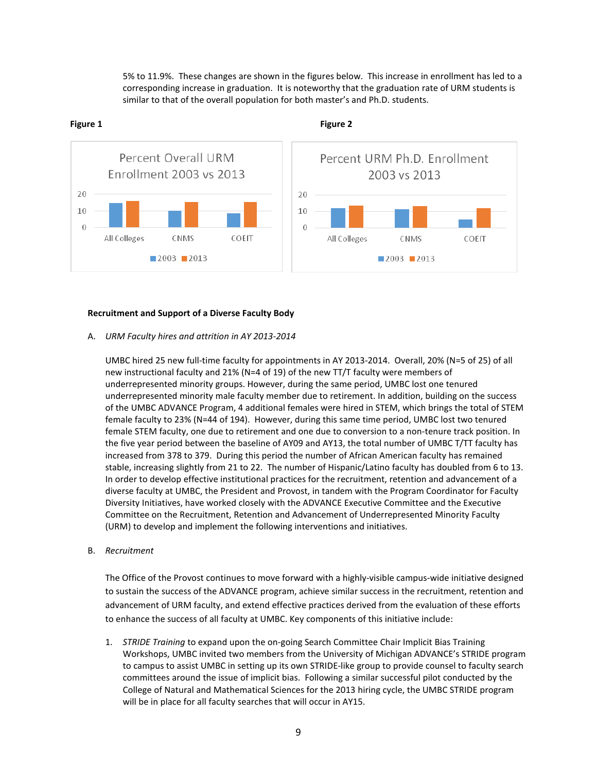5% to 11.9%. These changes are shown in the figures below. This increase in enrollment has led to a corresponding increase in graduation. It is noteworthy that the graduation rate of URM students is similar to that of the overall population for both master's and Ph.D. students.



## **Figure 1 Figure 2**

#### **Recruitment and Support of a Diverse Faculty Body**

#### A. *URM Faculty hires and attrition in AY 2013-2014*

UMBC hired 25 new full-time faculty for appointments in AY 2013-2014. Overall, 20% (N=5 of 25) of all new instructional faculty and 21% (N=4 of 19) of the new TT/T faculty were members of underrepresented minority groups. However, during the same period, UMBC lost one tenured underrepresented minority male faculty member due to retirement. In addition, building on the success of the UMBC ADVANCE Program, 4 additional females were hired in STEM, which brings the total of STEM female faculty to 23% (N=44 of 194). However, during this same time period, UMBC lost two tenured female STEM faculty, one due to retirement and one due to conversion to a non-tenure track position. In the five year period between the baseline of AY09 and AY13, the total number of UMBC T/TT faculty has increased from 378 to 379. During this period the number of African American faculty has remained stable, increasing slightly from 21 to 22. The number of Hispanic/Latino faculty has doubled from 6 to 13. In order to develop effective institutional practices for the recruitment, retention and advancement of a diverse faculty at UMBC, the President and Provost, in tandem with the Program Coordinator for Faculty Diversity Initiatives, have worked closely with the ADVANCE Executive Committee and the Executive Committee on the Recruitment, Retention and Advancement of Underrepresented Minority Faculty (URM) to develop and implement the following interventions and initiatives.

#### B. *Recruitment*

The Office of the Provost continues to move forward with a highly-visible campus-wide initiative designed to sustain the success of the ADVANCE program, achieve similar success in the recruitment, retention and advancement of URM faculty, and extend effective practices derived from the evaluation of these efforts to enhance the success of all faculty at UMBC. Key components of this initiative include:

1. *STRIDE Training* to expand upon the on-going Search Committee Chair Implicit Bias Training Workshops, UMBC invited two members from the University of Michigan ADVANCE's STRIDE program to campus to assist UMBC in setting up its own STRIDE-like group to provide counsel to faculty search committees around the issue of implicit bias. Following a similar successful pilot conducted by the College of Natural and Mathematical Sciences for the 2013 hiring cycle, the UMBC STRIDE program will be in place for all faculty searches that will occur in AY15.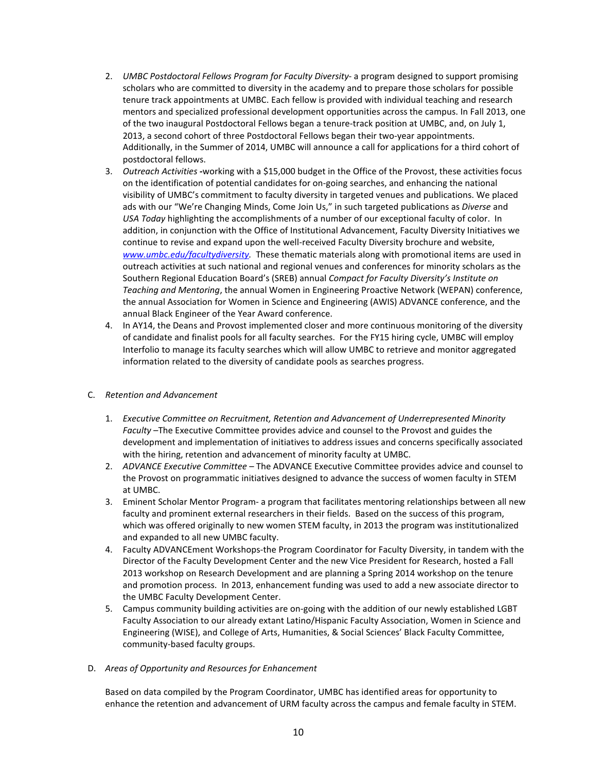- 2. *UMBC Postdoctoral Fellows Program for Faculty Diversity* a program designed to support promising scholars who are committed to diversity in the academy and to prepare those scholars for possible tenure track appointments at UMBC. Each fellow is provided with individual teaching and research mentors and specialized professional development opportunities across the campus. In Fall 2013, one of the two inaugural Postdoctoral Fellows began a tenure-track position at UMBC, and, on July 1, 2013, a second cohort of three Postdoctoral Fellows began their two-year appointments. Additionally, in the Summer of 2014, UMBC will announce a call for applications for a third cohort of postdoctoral fellows.
- 3. *Outreach Activities -*working with a \$15,000 budget in the Office of the Provost, these activities focus on the identification of potential candidates for on-going searches, and enhancing the national visibility of UMBC's commitment to faculty diversity in targeted venues and publications. We placed ads with our "We're Changing Minds, Come Join Us," in such targeted publications as *Diverse* and *USA Today* highlighting the accomplishments of a number of our exceptional faculty of color. In addition, in conjunction with the Office of Institutional Advancement, Faculty Diversity Initiatives we continue to revise and expand upon the well-received Faculty Diversity brochure and website, *[www.umbc.edu/facultydiversity.](http://www.umbc.edu/facultydiversity)* These thematic materials along with promotional items are used in outreach activities at such national and regional venues and conferences for minority scholars as the Southern Regional Education Board's (SREB) annual *Compact for Faculty Diversity's Institute on Teaching and Mentoring*, the annual Women in Engineering Proactive Network (WEPAN) conference, the annual Association for Women in Science and Engineering (AWIS) ADVANCE conference, and the annual Black Engineer of the Year Award conference.
- 4. In AY14, the Deans and Provost implemented closer and more continuous monitoring of the diversity of candidate and finalist pools for all faculty searches. For the FY15 hiring cycle, UMBC will employ Interfolio to manage its faculty searches which will allow UMBC to retrieve and monitor aggregated information related to the diversity of candidate pools as searches progress.

# C. *Retention and Advancement*

- 1. *Executive Committee on Recruitment, Retention and Advancement of Underrepresented Minority Faculty* –The Executive Committee provides advice and counsel to the Provost and guides the development and implementation of initiatives to address issues and concerns specifically associated with the hiring, retention and advancement of minority faculty at UMBC.
- 2. *ADVANCE Executive Committee*  The ADVANCE Executive Committee provides advice and counsel to the Provost on programmatic initiatives designed to advance the success of women faculty in STEM at UMBC.
- 3. Eminent Scholar Mentor Program- a program that facilitates mentoring relationships between all new faculty and prominent external researchers in their fields. Based on the success of this program, which was offered originally to new women STEM faculty, in 2013 the program was institutionalized and expanded to all new UMBC faculty.
- 4. Faculty ADVANCEment Workshops-the Program Coordinator for Faculty Diversity, in tandem with the Director of the Faculty Development Center and the new Vice President for Research, hosted a Fall 2013 workshop on Research Development and are planning a Spring 2014 workshop on the tenure and promotion process. In 2013, enhancement funding was used to add a new associate director to the UMBC Faculty Development Center.
- 5. Campus community building activities are on-going with the addition of our newly established LGBT Faculty Association to our already extant Latino/Hispanic Faculty Association, Women in Science and Engineering (WISE), and College of Arts, Humanities, & Social Sciences' Black Faculty Committee, community-based faculty groups.

# D. *Areas of Opportunity and Resources for Enhancement*

Based on data compiled by the Program Coordinator, UMBC has identified areas for opportunity to enhance the retention and advancement of URM faculty across the campus and female faculty in STEM.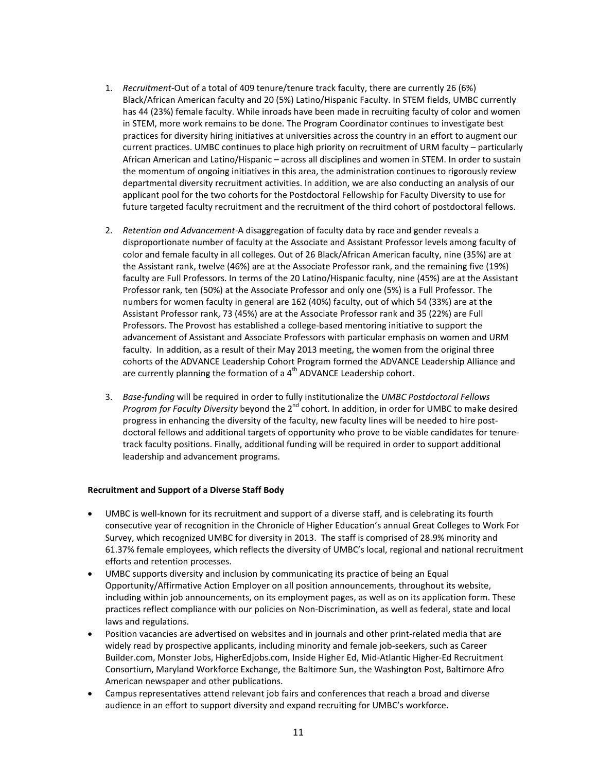- 1. *Recruitment-*Out of a total of 409 tenure/tenure track faculty, there are currently 26 (6%) Black/African American faculty and 20 (5%) Latino/Hispanic Faculty. In STEM fields, UMBC currently has 44 (23%) female faculty. While inroads have been made in recruiting faculty of color and women in STEM, more work remains to be done. The Program Coordinator continues to investigate best practices for diversity hiring initiatives at universities across the country in an effort to augment our current practices. UMBC continues to place high priority on recruitment of URM faculty – particularly African American and Latino/Hispanic – across all disciplines and women in STEM. In order to sustain the momentum of ongoing initiatives in this area, the administration continues to rigorously review departmental diversity recruitment activities. In addition, we are also conducting an analysis of our applicant pool for the two cohorts for the Postdoctoral Fellowship for Faculty Diversity to use for future targeted faculty recruitment and the recruitment of the third cohort of postdoctoral fellows.
- 2. *Retention and Advancement-*A disaggregation of faculty data by race and gender reveals a disproportionate number of faculty at the Associate and Assistant Professor levels among faculty of color and female faculty in all colleges. Out of 26 Black/African American faculty, nine (35%) are at the Assistant rank, twelve (46%) are at the Associate Professor rank, and the remaining five (19%) faculty are Full Professors. In terms of the 20 Latino/Hispanic faculty, nine (45%) are at the Assistant Professor rank, ten (50%) at the Associate Professor and only one (5%) is a Full Professor. The numbers for women faculty in general are 162 (40%) faculty, out of which 54 (33%) are at the Assistant Professor rank, 73 (45%) are at the Associate Professor rank and 35 (22%) are Full Professors. The Provost has established a college-based mentoring initiative to support the advancement of Assistant and Associate Professors with particular emphasis on women and URM faculty. In addition, as a result of their May 2013 meeting, the women from the original three cohorts of the ADVANCE Leadership Cohort Program formed the ADVANCE Leadership Alliance and are currently planning the formation of a  $4<sup>th</sup>$  ADVANCE Leadership cohort.
- 3. *Base-funding* will be required in order to fully institutionalize the *UMBC Postdoctoral Fellows Program for Faculty Diversity* beyond the 2<sup>nd</sup> cohort. In addition, in order for UMBC to make desired progress in enhancing the diversity of the faculty, new faculty lines will be needed to hire postdoctoral fellows and additional targets of opportunity who prove to be viable candidates for tenuretrack faculty positions. Finally, additional funding will be required in order to support additional leadership and advancement programs.

# **Recruitment and Support of a Diverse Staff Body**

- UMBC is well-known for its recruitment and support of a diverse staff, and is celebrating its fourth consecutive year of recognition in the Chronicle of Higher Education's annual Great Colleges to Work For Survey, which recognized UMBC for diversity in 2013. The staff is comprised of 28.9% minority and 61.37% female employees, which reflects the diversity of UMBC's local, regional and national recruitment efforts and retention processes.
- UMBC supports diversity and inclusion by communicating its practice of being an Equal Opportunity/Affirmative Action Employer on all position announcements, throughout its website, including within job announcements, on its employment pages, as well as on its application form. These practices reflect compliance with our policies on Non-Discrimination, as well as federal, state and local laws and regulations.
- Position vacancies are advertised on websites and in journals and other print-related media that are widely read by prospective applicants, including minority and female job-seekers, such as Career Builder.com, Monster Jobs, HigherEdjobs.com, Inside Higher Ed, Mid-Atlantic Higher-Ed Recruitment Consortium, Maryland Workforce Exchange, the Baltimore Sun, the Washington Post, Baltimore Afro American newspaper and other publications.
- Campus representatives attend relevant job fairs and conferences that reach a broad and diverse audience in an effort to support diversity and expand recruiting for UMBC's workforce.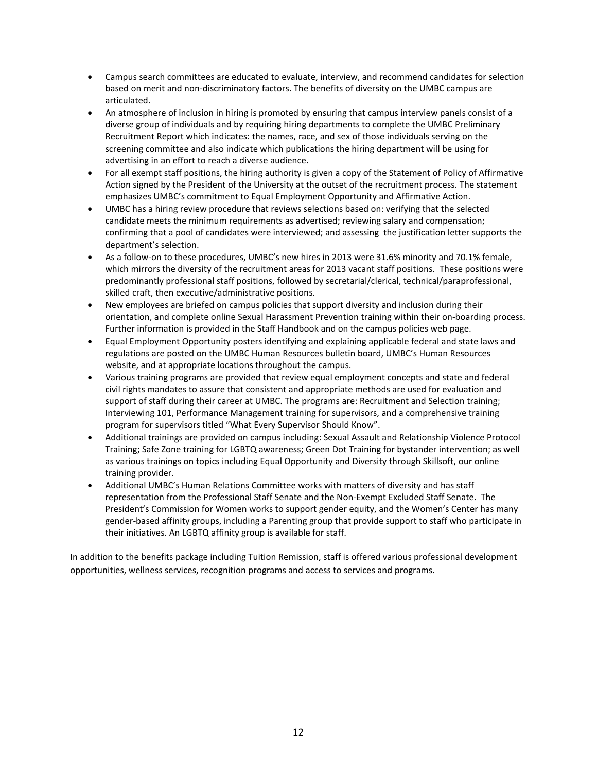- Campus search committees are educated to evaluate, interview, and recommend candidates for selection based on merit and non-discriminatory factors. The benefits of diversity on the UMBC campus are articulated.
- An atmosphere of inclusion in hiring is promoted by ensuring that campus interview panels consist of a diverse group of individuals and by requiring hiring departments to complete the UMBC Preliminary Recruitment Report which indicates: the names, race, and sex of those individuals serving on the screening committee and also indicate which publications the hiring department will be using for advertising in an effort to reach a diverse audience.
- For all exempt staff positions, the hiring authority is given a copy of the Statement of Policy of Affirmative Action signed by the President of the University at the outset of the recruitment process. The statement emphasizes UMBC's commitment to Equal Employment Opportunity and Affirmative Action.
- UMBC has a hiring review procedure that reviews selections based on: verifying that the selected candidate meets the minimum requirements as advertised; reviewing salary and compensation; confirming that a pool of candidates were interviewed; and assessing the justification letter supports the department's selection.
- As a follow-on to these procedures, UMBC's new hires in 2013 were 31.6% minority and 70.1% female, which mirrors the diversity of the recruitment areas for 2013 vacant staff positions. These positions were predominantly professional staff positions, followed by secretarial/clerical, technical/paraprofessional, skilled craft, then executive/administrative positions.
- New employees are briefed on campus policies that support diversity and inclusion during their orientation, and complete online Sexual Harassment Prevention training within their on-boarding process. Further information is provided in the Staff Handbook and on the campus policies web page.
- Equal Employment Opportunity posters identifying and explaining applicable federal and state laws and regulations are posted on the UMBC Human Resources bulletin board, UMBC's Human Resources website, and at appropriate locations throughout the campus.
- Various training programs are provided that review equal employment concepts and state and federal civil rights mandates to assure that consistent and appropriate methods are used for evaluation and support of staff during their career at UMBC. The programs are: Recruitment and Selection training; Interviewing 101, Performance Management training for supervisors, and a comprehensive training program for supervisors titled "What Every Supervisor Should Know".
- Additional trainings are provided on campus including: Sexual Assault and Relationship Violence Protocol Training; Safe Zone training for LGBTQ awareness; Green Dot Training for bystander intervention; as well as various trainings on topics including Equal Opportunity and Diversity through Skillsoft, our online training provider.
- Additional UMBC's Human Relations Committee works with matters of diversity and has staff representation from the Professional Staff Senate and the Non-Exempt Excluded Staff Senate. The President's Commission for Women works to support gender equity, and the Women's Center has many gender-based affinity groups, including a Parenting group that provide support to staff who participate in their initiatives. An LGBTQ affinity group is available for staff.

In addition to the benefits package including Tuition Remission, staff is offered various professional development opportunities, wellness services, recognition programs and access to services and programs.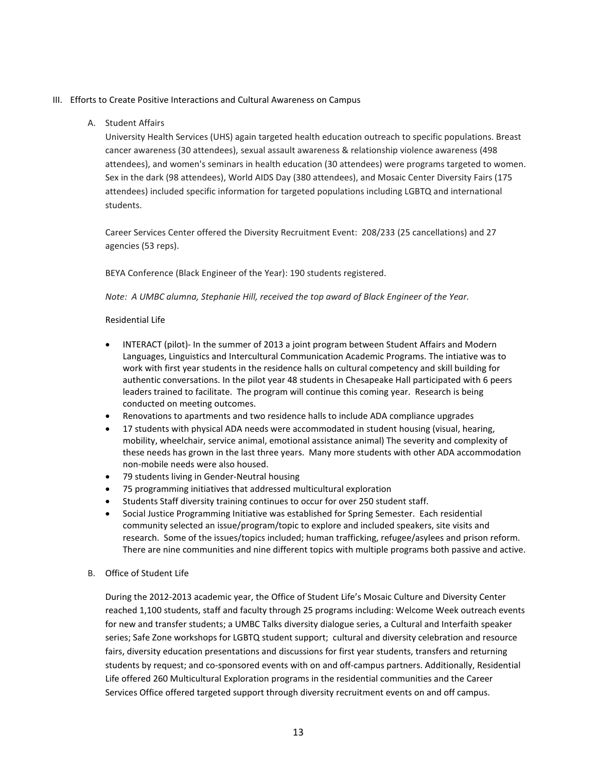# III. Efforts to Create Positive Interactions and Cultural Awareness on Campus

# A. Student Affairs

University Health Services (UHS) again targeted health education outreach to specific populations. Breast cancer awareness (30 attendees), sexual assault awareness & relationship violence awareness (498 attendees), and women's seminars in health education (30 attendees) were programs targeted to women. Sex in the dark (98 attendees), World AIDS Day (380 attendees), and Mosaic Center Diversity Fairs (175 attendees) included specific information for targeted populations including LGBTQ and international students.

Career Services Center offered the Diversity Recruitment Event: 208/233 (25 cancellations) and 27 agencies (53 reps).

BEYA Conference (Black Engineer of the Year): 190 students registered.

*Note: A UMBC alumna, Stephanie Hill, received the top award of Black Engineer of the Year.*

### Residential Life

- INTERACT (pilot)- In the summer of 2013 a joint program between Student Affairs and Modern Languages, Linguistics and Intercultural Communication Academic Programs. The intiative was to work with first year students in the residence halls on cultural competency and skill building for authentic conversations. In the pilot year 48 students in Chesapeake Hall participated with 6 peers leaders trained to facilitate. The program will continue this coming year. Research is being conducted on meeting outcomes.
- Renovations to apartments and two residence halls to include ADA compliance upgrades
- 17 students with physical ADA needs were accommodated in student housing (visual, hearing, mobility, wheelchair, service animal, emotional assistance animal) The severity and complexity of these needs has grown in the last three years. Many more students with other ADA accommodation non-mobile needs were also housed.
- 79 students living in Gender-Neutral housing
- 75 programming initiatives that addressed multicultural exploration
- Students Staff diversity training continues to occur for over 250 student staff.
- Social Justice Programming Initiative was established for Spring Semester. Each residential community selected an issue/program/topic to explore and included speakers, site visits and research. Some of the issues/topics included; human trafficking, refugee/asylees and prison reform. There are nine communities and nine different topics with multiple programs both passive and active.
- B. Office of Student Life

During the 2012-2013 academic year, the Office of Student Life's Mosaic Culture and Diversity Center reached 1,100 students, staff and faculty through 25 programs including: Welcome Week outreach events for new and transfer students; a UMBC Talks diversity dialogue series, a Cultural and Interfaith speaker series; Safe Zone workshops for LGBTQ student support; cultural and diversity celebration and resource fairs, diversity education presentations and discussions for first year students, transfers and returning students by request; and co-sponsored events with on and off-campus partners. Additionally, Residential Life offered 260 Multicultural Exploration programs in the residential communities and the Career Services Office offered targeted support through diversity recruitment events on and off campus.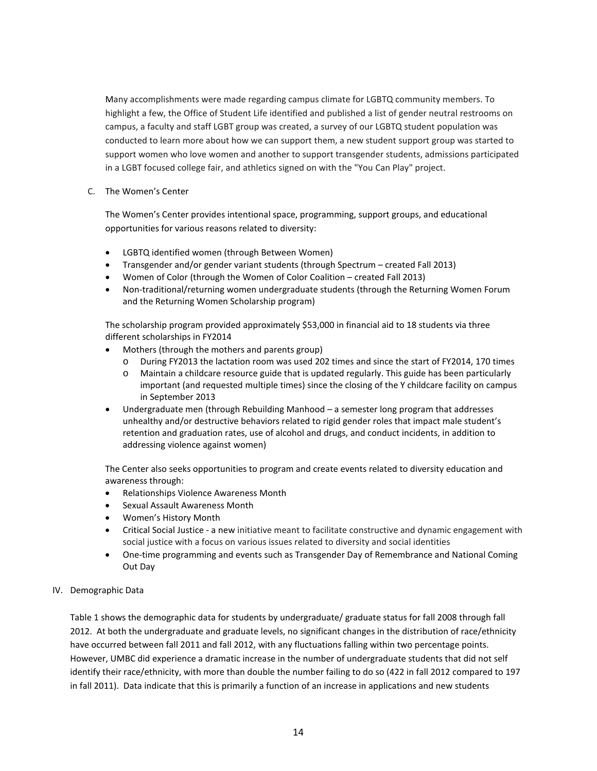Many accomplishments were made regarding campus climate for LGBTQ community members. To highlight a few, the Office of Student Life identified and published a list of gender neutral restrooms on campus, a faculty and staff LGBT group was created, a survey of our LGBTQ student population was conducted to learn more about how we can support them, a new student support group was started to support women who love women and another to support transgender students, admissions participated in a LGBT focused college fair, and athletics signed on with the "You Can Play" project.

C. The Women's Center

The Women's Center provides intentional space, programming, support groups, and educational opportunities for various reasons related to diversity:

- LGBTQ identified women (through Between Women)
- Transgender and/or gender variant students (through Spectrum created Fall 2013)
- Women of Color (through the Women of Color Coalition created Fall 2013)
- Non-traditional/returning women undergraduate students (through the Returning Women Forum and the Returning Women Scholarship program)

The scholarship program provided approximately \$53,000 in financial aid to 18 students via three different scholarships in FY2014

- Mothers (through the mothers and parents group)
	- o During FY2013 the lactation room was used 202 times and since the start of FY2014, 170 times
	- o Maintain a childcare resource guide that is updated regularly. This guide has been particularly important (and requested multiple times) since the closing of the Y childcare facility on campus in September 2013
- Undergraduate men (through Rebuilding Manhood a semester long program that addresses unhealthy and/or destructive behaviors related to rigid gender roles that impact male student's retention and graduation rates, use of alcohol and drugs, and conduct incidents, in addition to addressing violence against women)

The Center also seeks opportunities to program and create events related to diversity education and awareness through:

- Relationships Violence Awareness Month
- Sexual Assault Awareness Month
- Women's History Month
- Critical Social Justice a new initiative meant to facilitate constructive and dynamic engagement with social justice with a focus on various issues related to diversity and social identities
- One-time programming and events such as Transgender Day of Remembrance and National Coming Out Day

# IV. Demographic Data

Table 1 shows the demographic data for students by undergraduate/ graduate status for fall 2008 through fall 2012. At both the undergraduate and graduate levels, no significant changes in the distribution of race/ethnicity have occurred between fall 2011 and fall 2012, with any fluctuations falling within two percentage points. However, UMBC did experience a dramatic increase in the number of undergraduate students that did not self identify their race/ethnicity, with more than double the number failing to do so (422 in fall 2012 compared to 197 in fall 2011). Data indicate that this is primarily a function of an increase in applications and new students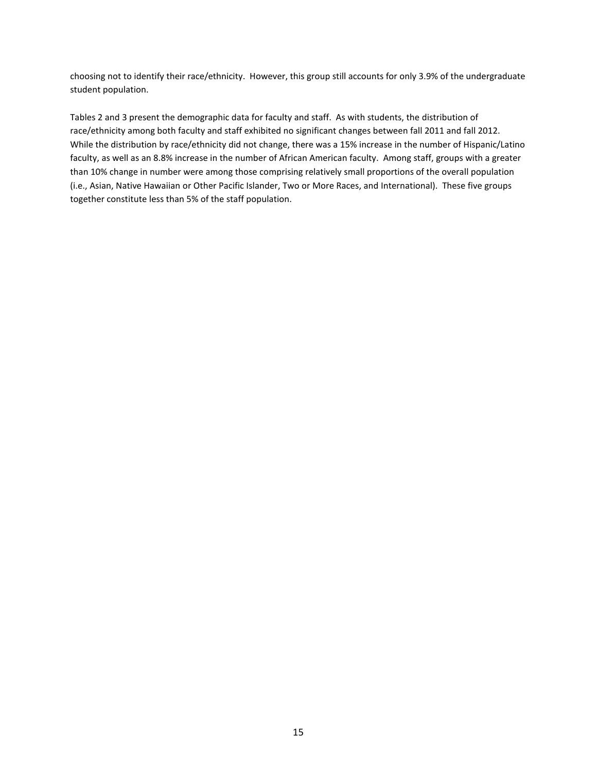choosing not to identify their race/ethnicity. However, this group still accounts for only 3.9% of the undergraduate student population.

Tables 2 and 3 present the demographic data for faculty and staff. As with students, the distribution of race/ethnicity among both faculty and staff exhibited no significant changes between fall 2011 and fall 2012. While the distribution by race/ethnicity did not change, there was a 15% increase in the number of Hispanic/Latino faculty, as well as an 8.8% increase in the number of African American faculty. Among staff, groups with a greater than 10% change in number were among those comprising relatively small proportions of the overall population (i.e., Asian, Native Hawaiian or Other Pacific Islander, Two or More Races, and International). These five groups together constitute less than 5% of the staff population.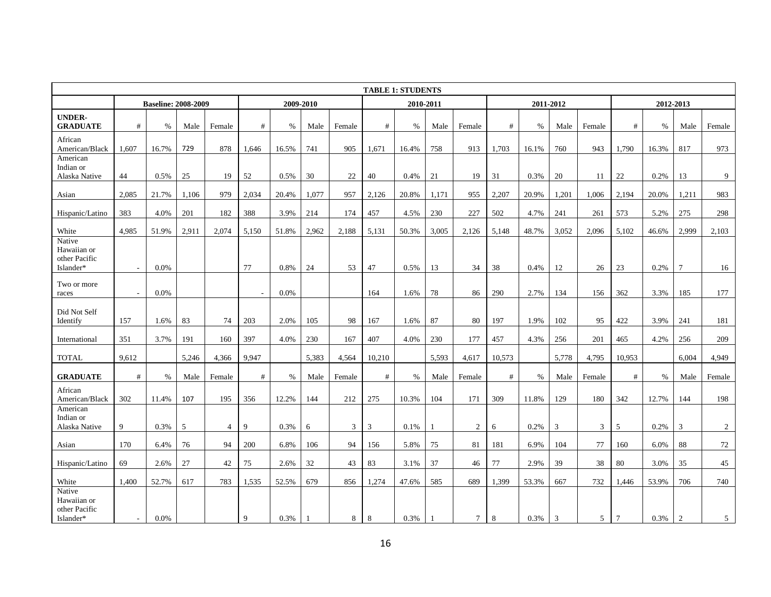|                                                     | <b>TABLE 1: STUDENTS</b> |                            |       |        |             |       |           |        |        |           |       |                |        |           |       |        |                |       |           |                |
|-----------------------------------------------------|--------------------------|----------------------------|-------|--------|-------------|-------|-----------|--------|--------|-----------|-------|----------------|--------|-----------|-------|--------|----------------|-------|-----------|----------------|
|                                                     |                          | <b>Baseline: 2008-2009</b> |       |        |             |       | 2009-2010 |        |        | 2010-2011 |       |                |        | 2011-2012 |       |        |                |       | 2012-2013 |                |
| <b>UNDER-</b><br><b>GRADUATE</b>                    | #                        | $\%$                       | Male  | Female | #           | $\%$  | Male      | Female | #      | %         | Male  | Female         | #      | $\%$      | Male  | Female | #              | %     | Male      | Female         |
| African<br>American/Black                           | 1.607                    | 16.7%                      | 729   | 878    | 1.646       | 16.5% | 741       | 905    | 1.671  | 16.4%     | 758   | 913            | 1.703  | 16.1%     | 760   | 943    | 1,790          | 16.3% | 817       | 973            |
| American<br>Indian or<br>Alaska Native              | 44                       | 0.5%                       | 25    | 19     | 52          | 0.5%  | 30        | 22     | 40     | 0.4%      | 21    | 19             | 31     | 0.3%      | 20    | -11    | 22             | 0.2%  | 13        | 9              |
| Asian                                               | 2,085                    | 21.7%                      | 1,106 | 979    | 2,034       | 20.4% | 1,077     | 957    | 2,126  | 20.8%     | 1,171 | 955            | 2,207  | 20.9%     | 1,201 | 1,006  | 2,194          | 20.0% | 1,211     | 983            |
| Hispanic/Latino                                     | 383                      | 4.0%                       | 201   | 182    | 388         | 3.9%  | 214       | 174    | 457    | 4.5%      | 230   | 227            | 502    | 4.7%      | 241   | 261    | 573            | 5.2%  | 275       | 298            |
| White                                               | 4,985                    | 51.9%                      | 2,911 | 2,074  | 5,150       | 51.8% | 2,962     | 2,188  | 5,131  | 50.3%     | 3,005 | 2,126          | 5,148  | 48.7%     | 3,052 | 2,096  | 5,102          | 46.6% | 2,999     | 2,103          |
| Native<br>Hawaiian or<br>other Pacific<br>Islander* | $\overline{\phantom{a}}$ | $0.0\%$                    |       |        | 77          | 0.8%  | 24        | 53     | 47     | 0.5%      | 13    | 34             | 38     | 0.4%      | 12    | 26     | 23             | 0.2%  | 7         | 16             |
| Two or more<br>races                                | $\sim$                   | 0.0%                       |       |        |             | 0.0%  |           |        | 164    | 1.6%      | 78    | 86             | 290    | 2.7%      | 134   | 156    | 362            | 3.3%  | 185       | 177            |
| Did Not Self<br>Identify                            | 157                      | 1.6%                       | 83    | 74     | 203         | 2.0%  | 105       | 98     | 167    | 1.6%      | 87    | 80             | 197    | 1.9%      | 102   | 95     | 422            | 3.9%  | 241       | 181            |
| International                                       | 351                      | 3.7%                       | 191   | 160    | 397         | 4.0%  | 230       | 167    | 407    | 4.0%      | 230   | 177            | 457    | 4.3%      | 256   | 201    | 465            | 4.2%  | 256       | 209            |
| <b>TOTAL</b>                                        | 9.612                    |                            | 5,246 | 4,366  | 9.947       |       | 5,383     | 4,564  | 10,210 |           | 5,593 | 4,617          | 10,573 |           | 5,778 | 4,795  | 10.953         |       | 6.004     | 4,949          |
| <b>GRADUATE</b>                                     | $\#$                     | $\%$                       | Male  | Female | $\#$        | $\%$  | Male      | Female | $\#$   | $\%$      | Male  | Female         | $\#$   | $\%$      | Male  | Female | #              | $\%$  | Male      | Female         |
| African<br>American/Black                           | 302                      | 11.4%                      | 107   | 195    | 356         | 12.2% | 144       | 212    | 275    | 10.3%     | 104   | 171            | 309    | 11.8%     | 129   | 180    | 342            | 12.7% | 144       | 198            |
| American<br>Indian or<br>Alaska Native              | 9                        | 0.3%                       | 5     | 4      | 9           | 0.3%  | 6         | 3      | 3      | 0.1%      |       | $\overline{2}$ | 6      | 0.2%      | 3     | 3      | 5              | 0.2%  | 3         | $\overline{2}$ |
| Asian                                               | 170                      | 6.4%                       | 76    | 94     | 200         | 6.8%  | 106       | 94     | 156    | 5.8%      | 75    | 81             | 181    | 6.9%      | 104   | 77     | 160            | 6.0%  | 88        | 72             |
| Hispanic/Latino                                     | 69                       | 2.6%                       | 27    | 42     | 75          | 2.6%  | 32        | 43     | 83     | 3.1%      | 37    | 46             | 77     | 2.9%      | 39    | 38     | 80             | 3.0%  | 35        | 45             |
| White                                               | 1.400                    | 52.7%                      | 617   | 783    | 1,535       | 52.5% | 679       | 856    | 1,274  | 47.6%     | 585   | 689            | 1,399  | 53.3%     | 667   | 732    | 1,446          | 53.9% | 706       | 740            |
| Native<br>Hawaiian or<br>other Pacific<br>Islander* | $\sim$                   | 0.0%                       |       |        | $\mathbf Q$ | 0.3%  |           | 8      | 8      | 0.3%      |       | $7^{\circ}$    | 8      | 0.3%      | 3     | 5      | $\overline{7}$ | 0.3%  | 2         | $\mathfrak{F}$ |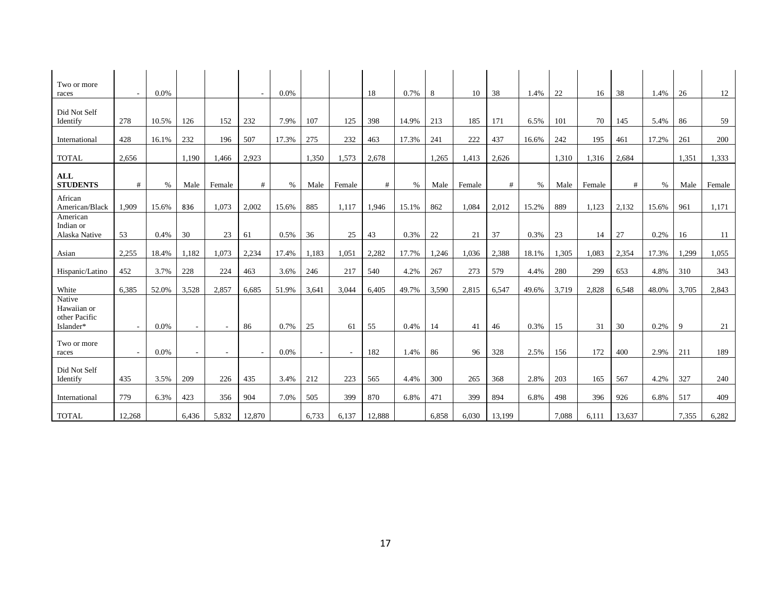| Two or more<br>races                                | $\sim$                   | 0.0%  |        |        |        | 0.0%  |        |        | 18     | 0.7%  | 8     | 10     | 38     | 1.4%  | 22    | 16     | 38     | 1.4%  | 26    | 12     |
|-----------------------------------------------------|--------------------------|-------|--------|--------|--------|-------|--------|--------|--------|-------|-------|--------|--------|-------|-------|--------|--------|-------|-------|--------|
|                                                     |                          |       |        |        |        |       |        |        |        |       |       |        |        |       |       |        |        |       |       |        |
| Did Not Self<br>Identify                            | 278                      | 10.5% | 126    | 152    | 232    | 7.9%  | 107    | 125    | 398    | 14.9% | 213   | 185    | 171    | 6.5%  | 101   | 70     | 145    | 5.4%  | 86    | 59     |
| International                                       | 428                      | 16.1% | 232    | 196    | 507    | 17.3% | 275    | 232    | 463    | 17.3% | 241   | 222    | 437    | 16.6% | 242   | 195    | 461    | 17.2% | 261   | 200    |
| <b>TOTAL</b>                                        | 2.656                    |       | 1.190  | 1,466  | 2,923  |       | 1,350  | 1,573  | 2,678  |       | 1,265 | 1,413  | 2,626  |       | 1,310 | 1,316  | 2,684  |       | 1,351 | 1,333  |
| <b>ALL</b><br><b>STUDENTS</b>                       | #                        | $\%$  | Male   | Female | #      | $\%$  | Male   | Female | #      | $\%$  | Male  | Female | #      | $\%$  | Male  | Female | #      | $\%$  | Male  | Female |
| African<br>American/Black                           | 1,909                    | 15.6% | 836    | 1,073  | 2,002  | 15.6% | 885    | 1,117  | 1,946  | 15.1% | 862   | 1,084  | 2,012  | 15.2% | 889   | 1,123  | 2,132  | 15.6% | 961   | 1,171  |
| American<br>Indian or<br>Alaska Native              | 53                       | 0.4%  | 30     | 23     | 61     | 0.5%  | 36     | 25     | 43     | 0.3%  | 22    | 21     | 37     | 0.3%  | 23    | 14     | 27     | 0.2%  | 16    | -11    |
| Asian                                               | 2,255                    | 18.4% | 1,182  | 1,073  | 2,234  | 17.4% | 1,183  | 1,051  | 2,282  | 17.7% | 1,246 | 1,036  | 2,388  | 18.1% | 1,305 | 1,083  | 2,354  | 17.3% | 1,299 | 1,055  |
| Hispanic/Latino                                     | 452                      | 3.7%  | 228    | 224    | 463    | 3.6%  | 246    | 217    | 540    | 4.2%  | 267   | 273    | 579    | 4.4%  | 280   | 299    | 653    | 4.8%  | 310   | 343    |
| White                                               | 6,385                    | 52.0% | 3,528  | 2,857  | 6,685  | 51.9% | 3,641  | 3,044  | 6,405  | 49.7% | 3,590 | 2,815  | 6,547  | 49.6% | 3,719 | 2,828  | 6,548  | 48.0% | 3,705 | 2,843  |
| Native<br>Hawaiian or<br>other Pacific<br>Islander* | $\overline{\phantom{a}}$ | 0.0%  |        | $\sim$ | 86     | 0.7%  | 25     | 61     | 55     | 0.4%  | 14    | 41     | 46     | 0.3%  | 15    | 31     | 30     | 0.2%  | 9     | 21     |
| Two or more<br>races                                | $\sim$                   | 0.0%  | $\sim$ | $\sim$ | $\sim$ | 0.0%  | $\sim$ | $\sim$ | 182    | 1.4%  | 86    | 96     | 328    | 2.5%  | 156   | 172    | 400    | 2.9%  | 211   | 189    |
| Did Not Self<br>Identify                            | 435                      | 3.5%  | 209    | 226    | 435    | 3.4%  | 212    | 223    | 565    | 4.4%  | 300   | 265    | 368    | 2.8%  | 203   | 165    | 567    | 4.2%  | 327   | 240    |
| International                                       | 779                      | 6.3%  | 423    | 356    | 904    | 7.0%  | 505    | 399    | 870    | 6.8%  | 471   | 399    | 894    | 6.8%  | 498   | 396    | 926    | 6.8%  | 517   | 409    |
| <b>TOTAL</b>                                        | 12,268                   |       | 6,436  | 5,832  | 12,870 |       | 6,733  | 6,137  | 12,888 |       | 6,858 | 6,030  | 13,199 |       | 7,088 | 6,111  | 13,637 |       | 7.355 | 6,282  |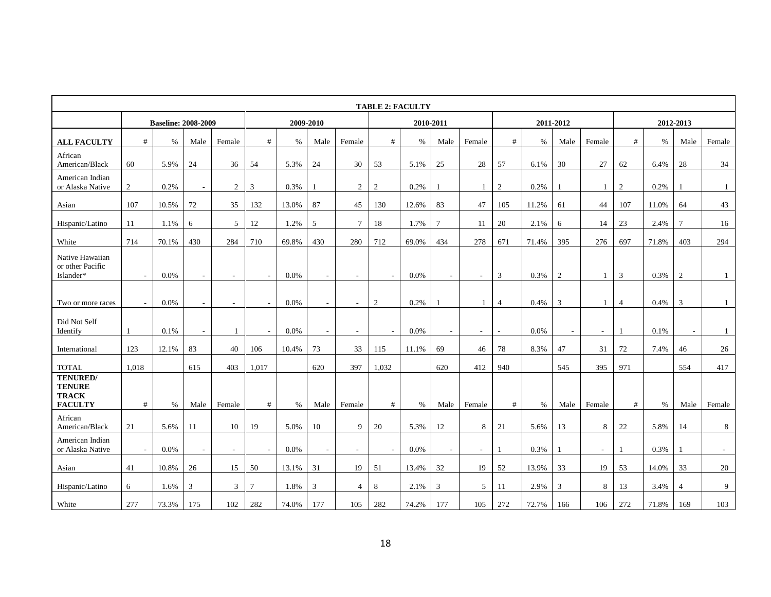|                                                             | <b>TABLE 2: FACULTY</b>  |                            |        |                          |                          |       |                |                          |        |       |                |        |                |       |                |                |                |       |                |                          |
|-------------------------------------------------------------|--------------------------|----------------------------|--------|--------------------------|--------------------------|-------|----------------|--------------------------|--------|-------|----------------|--------|----------------|-------|----------------|----------------|----------------|-------|----------------|--------------------------|
|                                                             |                          | <b>Baseline: 2008-2009</b> |        |                          |                          |       | 2009-2010      |                          |        |       | 2010-2011      |        |                |       | 2011-2012      |                |                |       | 2012-2013      |                          |
| <b>ALL FACULTY</b>                                          | $\#$                     | $\%$                       | Male   | Female                   | #                        | $\%$  | Male           | Female                   | #      | $\%$  | Male           | Female | $\#$           | $\%$  | Male           | Female         | #              | $\%$  | Male           | Female                   |
| African<br>American/Black                                   | 60                       | 5.9%                       | 24     | 36                       | 54                       | 5.3%  | 24             | 30                       | 53     | 5.1%  | 25             | 28     | 57             | 6.1%  | 30             | 27             | 62             | 6.4%  | 28             | 34                       |
| American Indian<br>or Alaska Native                         | $\boldsymbol{2}$         | 0.2%                       | $\sim$ | $\overline{2}$           | 3                        | 0.3%  |                | 2                        | 2      | 0.2%  |                | 1      | 2              | 0.2%  |                | $\overline{1}$ | 2              | 0.2%  |                | $\mathbf{1}$             |
| Asian                                                       | 107                      | 10.5%                      | 72     | 35                       | 132                      | 13.0% | 87             | 45                       | 130    | 12.6% | 83             | 47     | 105            | 11.2% | 61             | 44             | 107            | 11.0% | 64             | 43                       |
| Hispanic/Latino                                             | 11                       | 1.1%                       | 6      | 5                        | 12                       | 1.2%  | 5              | $7\phantom{.0}$          | 18     | 1.7%  | $\overline{7}$ | 11     | 20             | 2.1%  | 6              | 14             | 23             | 2.4%  | $\tau$         | 16                       |
| White                                                       | 714                      | 70.1%                      | 430    | 284                      | 710                      | 69.8% | 430            | 280                      | 712    | 69.0% | 434            | 278    | 671            | 71.4% | 395            | 276            | 697            | 71.8% | 403            | 294                      |
| Native Hawaiian<br>or other Pacific<br>Islander*            | $\overline{\phantom{a}}$ | 0.0%                       | $\sim$ | $\overline{\phantom{a}}$ | $\overline{\phantom{a}}$ | 0.0%  |                | $\overline{\phantom{a}}$ | $\sim$ | 0.0%  | $\sim$         | $\sim$ | 3              | 0.3%  | $\mathfrak{2}$ | $\mathbf{1}$   | 3              | 0.3%  | 2              | $\mathbf{1}$             |
| Two or more races                                           |                          | 0.0%                       | $\sim$ |                          |                          | 0.0%  |                | $\overline{\phantom{a}}$ | 2      | 0.2%  |                | 1      | $\overline{4}$ | 0.4%  | 3              | $\mathbf{1}$   | $\overline{4}$ | 0.4%  | 3              | $\mathbf{1}$             |
| Did Not Self<br>Identify                                    |                          | 0.1%                       | $\sim$ |                          |                          | 0.0%  |                | $\overline{\phantom{a}}$ |        | 0.0%  |                |        |                | 0.0%  |                | $\sim$         | $\overline{1}$ | 0.1%  |                | $\mathbf{1}$             |
| International                                               | 123                      | 12.1%                      | 83     | 40                       | 106                      | 10.4% | 73             | 33                       | 115    | 11.1% | 69             | 46     | 78             | 8.3%  | 47             | 31             | 72             | 7.4%  | 46             | 26                       |
| <b>TOTAL</b>                                                | 1,018                    |                            | 615    | 403                      | 1,017                    |       | 620            | 397                      | 1,032  |       | 620            | 412    | 940            |       | 545            | 395            | 971            |       | 554            | 417                      |
| TENURED/<br><b>TENURE</b><br><b>TRACK</b><br><b>FACULTY</b> | $\#$                     | $\%$                       | Male   | Female                   | #                        | %     | Male           | Female                   | #      | $\%$  | Male           | Female | $\#$           | $\%$  | Male           | Female         | #              | $\%$  | Male           | Female                   |
| African<br>American/Black                                   | 21                       | 5.6%                       | 11     | 10                       | 19                       | 5.0%  | 10             | 9                        | 20     | 5.3%  | 12             | 8      | 21             | 5.6%  | 13             | 8              | 22             | 5.8%  | 14             | 8                        |
| American Indian<br>or Alaska Native                         | $\sim$                   | 0.0%                       | $\sim$ |                          |                          | 0.0%  |                | $\overline{\phantom{a}}$ | $\sim$ | 0.0%  | $\overline{a}$ | L,     |                | 0.3%  |                | $\sim$         | $\overline{1}$ | 0.3%  |                | $\overline{\phantom{a}}$ |
| Asian                                                       | 41                       | 10.8%                      | 26     | 15                       | 50                       | 13.1% | 31             | 19                       | 51     | 13.4% | 32             | 19     | 52             | 13.9% | 33             | 19             | 53             | 14.0% | 33             | 20                       |
| Hispanic/Latino                                             | 6                        | 1.6%                       | 3      | 3                        | $\tau$                   | 1.8%  | $\overline{3}$ | $\overline{4}$           | 8      | 2.1%  | 3              | 5      | 11             | 2.9%  | 3              | 8              | 13             | 3.4%  | $\overline{4}$ | 9                        |
| White                                                       | 277                      | 73.3%                      | 175    | 102                      | 282                      | 74.0% | 177            | 105                      | 282    | 74.2% | 177            | 105    | 272            | 72.7% | 166            | 106            | 272            | 71.8% | 169            | 103                      |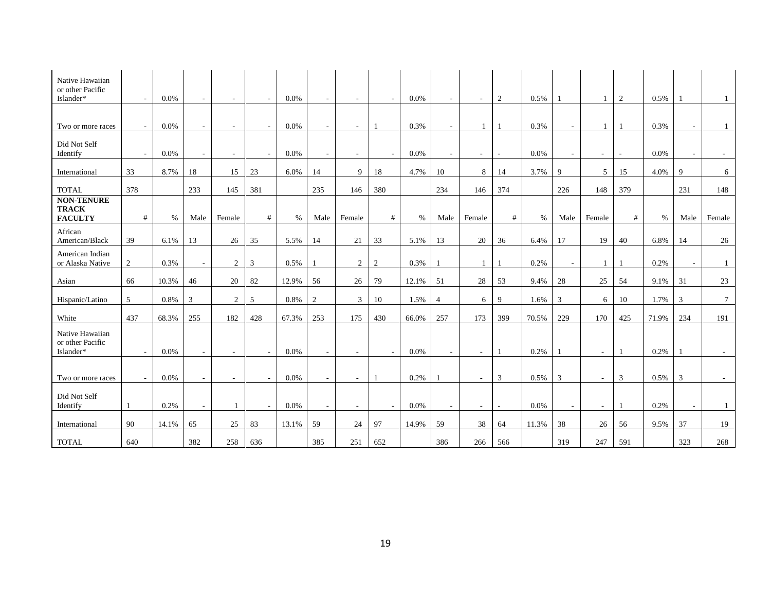| Native Hawaiian<br>or other Pacific<br>Islander*    | $\sim$ | $0.0\%$ | $\overline{\phantom{a}}$ |                          |        | 0.0%  |                |                       | $\sim$ | 0.0%  |                | $\sim$       | 2            | 0.5%  |                          | $\mathbf{1}$             | 2              | 0.5%  |      |                 |
|-----------------------------------------------------|--------|---------|--------------------------|--------------------------|--------|-------|----------------|-----------------------|--------|-------|----------------|--------------|--------------|-------|--------------------------|--------------------------|----------------|-------|------|-----------------|
| Two or more races                                   | $\sim$ | $0.0\%$ | $\sim$                   | $\overline{\phantom{a}}$ | $\sim$ | 0.0%  | $\sim$         | $\tilde{\phantom{a}}$ |        | 0.3%  | $\sim$         | $\mathbf{1}$ |              | 0.3%  | $\sim$                   | $\mathbf{1}$             | $\overline{1}$ | 0.3%  |      | 1               |
| Did Not Self<br>Identify                            |        | 0.0%    |                          |                          |        | 0.0%  |                |                       | $\sim$ | 0.0%  |                |              |              | 0.0%  |                          | $\sim$                   |                | 0.0%  |      |                 |
| International                                       | 33     | 8.7%    | 18                       | 15                       | 23     | 6.0%  | 14             | 9                     | 18     | 4.7%  | 10             | 8            | 14           | 3.7%  | $\mathbf Q$              | 5                        | 15             | 4.0%  | 9    | 6               |
| <b>TOTAL</b>                                        | 378    |         | 233                      | 145                      | 381    |       | 235            | 146                   | 380    |       | 234            | 146          | 374          |       | 226                      | 148                      | 379            |       | 231  | 148             |
| <b>NON-TENURE</b><br><b>TRACK</b><br><b>FACULTY</b> | #      | $\%$    | Male                     | Female                   | #      | %     | Male           | Female                | #      | $\%$  | Male           | Female       | #            | %     | Male                     | Female                   | #              | $\%$  | Male | Female          |
| African<br>American/Black                           | 39     | 6.1%    | 13                       | 26                       | 35     | 5.5%  | 14             | 21                    | 33     | 5.1%  | 13             | 20           | 36           | 6.4%  | 17                       | 19                       | 40             | 6.8%  | 14   | 26              |
| American Indian<br>or Alaska Native                 | 2      | 0.3%    | $\sim$                   | $\overline{2}$           | 3      | 0.5%  |                | 2                     | 2      | 0.3%  |                | 1            |              | 0.2%  | $\overline{\phantom{a}}$ |                          |                | 0.2%  |      | $\mathbf{1}$    |
| Asian                                               | 66     | 10.3%   | 46                       | 20                       | 82     | 12.9% | 56             | 26                    | 79     | 12.1% | 51             | 28           | 53           | 9.4%  | 28                       | 25                       | 54             | 9.1%  | 31   | 23              |
| Hispanic/Latino                                     | 5      | 0.8%    | 3                        | 2                        | 5      | 0.8%  | $\overline{2}$ | 3                     | 10     | 1.5%  | $\overline{4}$ | 6            | $\mathbf{Q}$ | 1.6%  | 3                        | 6                        | 10             | 1.7%  | 3    | $7\overline{ }$ |
| White                                               | 437    | 68.3%   | 255                      | 182                      | 428    | 67.3% | 253            | 175                   | 430    | 66.0% | 257            | 173          | 399          | 70.5% | 229                      | 170                      | 425            | 71.9% | 234  | 191             |
| Native Hawaiian<br>or other Pacific<br>Islander*    | $\sim$ | 0.0%    | $\overline{\phantom{a}}$ | $\overline{\phantom{a}}$ |        | 0.0%  |                |                       | $\sim$ | 0.0%  |                | $\sim$       |              | 0.2%  |                          | $\overline{\phantom{a}}$ | $\overline{1}$ | 0.2%  |      |                 |
| Two or more races                                   |        | 0.0%    |                          |                          |        | 0.0%  |                | $\overline{a}$        |        | 0.2%  |                | $\sim$       | 3            | 0.5%  | 3                        | $\sim$                   | $\overline{3}$ | 0.5%  | 3    |                 |
| Did Not Self<br>Identify                            |        | 0.2%    | $\sim$                   | $\mathbf{1}$             |        | 0.0%  |                |                       | $\sim$ | 0.0%  |                |              |              | 0.0%  |                          | $\sim$                   | $\overline{1}$ | 0.2%  |      | $\mathbf{1}$    |
| International                                       | 90     | 14.1%   | 65                       | 25                       | 83     | 13.1% | 59             | 24                    | 97     | 14.9% | 59             | 38           | 64           | 11.3% | 38                       | 26                       | 56             | 9.5%  | 37   | 19              |
| <b>TOTAL</b>                                        | 640    |         | 382                      | 258                      | 636    |       | 385            | 251                   | 652    |       | 386            | 266          | 566          |       | 319                      | 247                      | 591            |       | 323  | 268             |